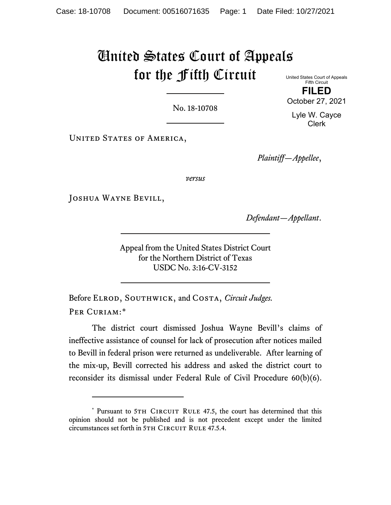# United States Court of Appeals for the Fifth Circuit

No. 18-10708

United States Court of Appeals Fifth Circuit

**FILED** October 27, 2021

Lyle W. Cayce Clerk

UNITED STATES OF AMERICA,

*Plaintiff—Appellee*,

*versus*

Joshua Wayne Bevill,

*Defendant—Appellant*.

Appeal from the United States District Court for the Northern District of Texas USDC No. 3:16-CV-3152

Before Elrod, Southwick, and Costa, *Circuit Judges.* PER CURIAM:[\\*](#page-0-0)

The district court dismissed Joshua Wayne Bevill's claims of ineffective assistance of counsel for lack of prosecution after notices mailed to Bevill in federal prison were returned as undeliverable. After learning of the mix-up, Bevill corrected his address and asked the district court to reconsider its dismissal under Federal Rule of Civil Procedure 60(b)(6).

<span id="page-0-0"></span><sup>\*</sup> Pursuant to 5TH CIRCUIT RULE 47.5, the court has determined that this opinion should not be published and is not precedent except under the limited circumstances set forth in 5TH CIRCUIT RULE 47.5.4.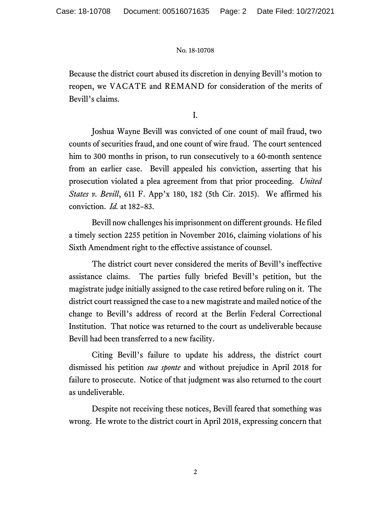Because the district court abused its discretion in denying Bevill's motion to reopen, we VACATE and REMAND for consideration of the merits of Bevill's claims.

I.

Joshua Wayne Bevill was convicted of one count of mail fraud, two counts of securities fraud, and one count of wire fraud. The court sentenced him to 300 months in prison, to run consecutively to a 60-month sentence from an earlier case. Bevill appealed his conviction, asserting that his prosecution violated a plea agreement from that prior proceeding. *United States v. Bevill*, 611 F. App'x 180, 182 (5th Cir. 2015). We affirmed his conviction. *Id.* at 182–83.

Bevill nowchallenges his imprisonment on different grounds. He filed a timely section 2255 petition in November 2016, claiming violations of his Sixth Amendment right to the effective assistance of counsel.

The district court never considered the merits of Bevill's ineffective assistance claims. The parties fully briefed Bevill's petition, but the magistrate judge initially assigned to the case retired before ruling on it. The district court reassigned the case to a new magistrate and mailed notice of the change to Bevill's address of record at the Berlin Federal Correctional Institution. That notice was returned to the court as undeliverable because Bevill had been transferred to a new facility.

Citing Bevill's failure to update his address, the district court dismissed his petition *sua sponte* and without prejudice in April 2018 for failure to prosecute. Notice of that judgment was also returned to the court as undeliverable.

Despite not receiving these notices, Bevill feared that something was wrong. He wrote to the district court in April 2018, expressing concern that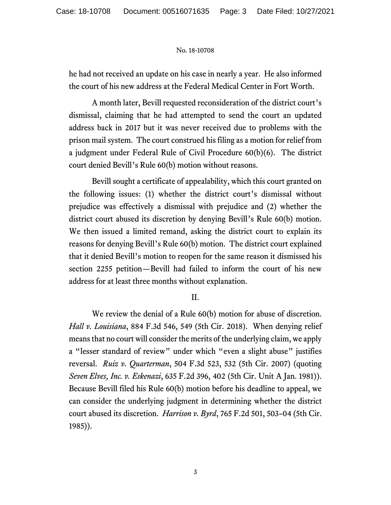he had not received an update on his case in nearly a year. He also informed the court of his new address at the Federal Medical Center in Fort Worth.

A month later, Bevill requested reconsideration of the district court's dismissal, claiming that he had attempted to send the court an updated address back in 2017 but it was never received due to problems with the prison mail system. The court construed his filing as a motion for relief from a judgment under Federal Rule of Civil Procedure 60(b)(6). The district court denied Bevill's Rule 60(b) motion without reasons.

Bevill sought a certificate of appealability, which this court granted on the following issues: (1) whether the district court's dismissal without prejudice was effectively a dismissal with prejudice and (2) whether the district court abused its discretion by denying Bevill's Rule 60(b) motion. We then issued a limited remand, asking the district court to explain its reasons for denying Bevill's Rule 60(b) motion. The district court explained that it denied Bevill's motion to reopen for the same reason it dismissed his section 2255 petition—Bevill had failed to inform the court of his new address for at least three months without explanation.

# II.

We review the denial of a Rule 60(b) motion for abuse of discretion. *Hall v. Louisiana*, 884 F.3d 546, 549 (5th Cir. 2018). When denying relief means that no court will consider the merits of the underlying claim, we apply a "lesser standard of review" under which "even a slight abuse" justifies reversal. *Ruiz v. Quarterman*, 504 F.3d 523, 532 (5th Cir. 2007) (quoting *Seven Elves, Inc. v. Eskenazi*, 635 F.2d 396, 402 (5th Cir. Unit A Jan. 1981)). Because Bevill filed his Rule 60(b) motion before his deadline to appeal, we can consider the underlying judgment in determining whether the district court abused its discretion. *Harrison v. Byrd*, 765 F.2d 501, 503–04 (5th Cir. 1985)).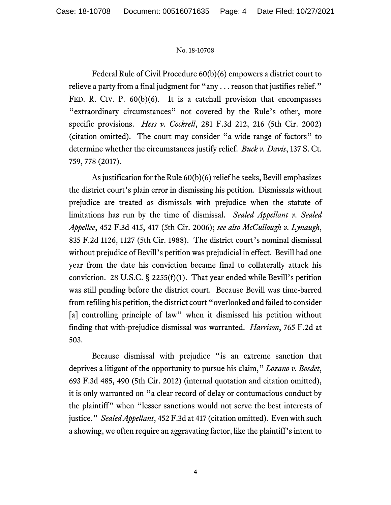Federal Rule of Civil Procedure 60(b)(6) empowers a district court to relieve a party from a final judgment for "any . . . reason that justifies relief." FED. R. CIV. P. 60(b)(6). It is a catchall provision that encompasses "extraordinary circumstances" not covered by the Rule's other, more specific provisions. *Hess v. Cockrell*, 281 F.3d 212, 216 (5th Cir. 2002) (citation omitted). The court may consider "a wide range of factors" to determine whether the circumstances justify relief. *Buck v. Davis*, 137 S. Ct. 759, 778 (2017).

As justification for the Rule 60(b)(6) relief he seeks, Bevill emphasizes the district court's plain error in dismissing his petition. Dismissals without prejudice are treated as dismissals with prejudice when the statute of limitations has run by the time of dismissal. *Sealed Appellant v. Sealed Appellee*, 452 F.3d 415, 417 (5th Cir. 2006); *see also McCullough v. Lynaugh*, 835 F.2d 1126, 1127 (5th Cir. 1988). The district court's nominal dismissal without prejudice of Bevill's petition was prejudicial in effect. Bevill had one year from the date his conviction became final to collaterally attack his conviction. 28 U.S.C.  $\S$  2255(f)(1). That year ended while Bevill's petition was still pending before the district court. Because Bevill was time-barred from refiling his petition, the district court "overlooked and failed to consider [a] controlling principle of law" when it dismissed his petition without finding that with-prejudice dismissal was warranted. *Harrison*, 765 F.2d at 503.

Because dismissal with prejudice "is an extreme sanction that deprives a litigant of the opportunity to pursue his claim," *Lozano v. Bosdet*, 693 F.3d 485, 490 (5th Cir. 2012) (internal quotation and citation omitted), it is only warranted on "a clear record of delay or contumacious conduct by the plaintiff" when "lesser sanctions would not serve the best interests of justice." *Sealed Appellant*, 452 F.3d at 417 (citation omitted). Even with such a showing, we often require an aggravating factor, like the plaintiff's intent to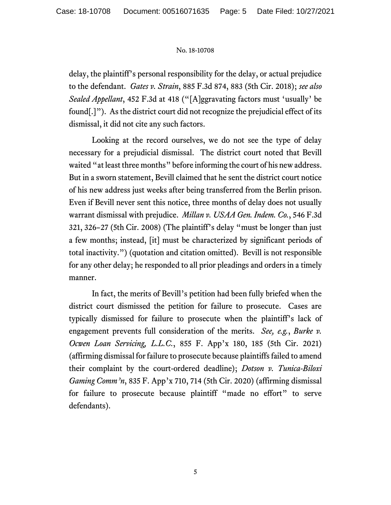delay, the plaintiff's personal responsibility for the delay, or actual prejudice to the defendant. *Gates v. Strain*, 885 F.3d 874, 883 (5th Cir. 2018); *see also Sealed Appellant*, 452 F.3d at 418 ("[A]ggravating factors must 'usually' be found[.]"). As the district court did not recognize the prejudicial effect of its dismissal, it did not cite any such factors.

Looking at the record ourselves, we do not see the type of delay necessary for a prejudicial dismissal. The district court noted that Bevill waited "at least three months" before informing the court of his new address. But in a sworn statement, Bevill claimed that he sent the district court notice of his new address just weeks after being transferred from the Berlin prison. Even if Bevill never sent this notice, three months of delay does not usually warrant dismissal with prejudice. *Millan v. USAA Gen. Indem. Co.*, 546 F.3d 321, 326–27 (5th Cir. 2008) (The plaintiff's delay "must be longer than just a few months; instead, [it] must be characterized by significant periods of total inactivity.") (quotation and citation omitted). Bevill is not responsible for any other delay; he responded to all prior pleadings and orders in a timely manner.

In fact, the merits of Bevill's petition had been fully briefed when the district court dismissed the petition for failure to prosecute. Cases are typically dismissed for failure to prosecute when the plaintiff's lack of engagement prevents full consideration of the merits. *See, e.g.*, *Burke v. Ocwen Loan Servicing, L.L.C.*, 855 F. App'x 180, 185 (5th Cir. 2021) (affirming dismissal for failure to prosecute because plaintiffs failed to amend their complaint by the court-ordered deadline); *Dotson v. Tunica-Biloxi Gaming Comm'n*, 835 F. App'x 710, 714 (5th Cir. 2020) (affirming dismissal for failure to prosecute because plaintiff "made no effort" to serve defendants).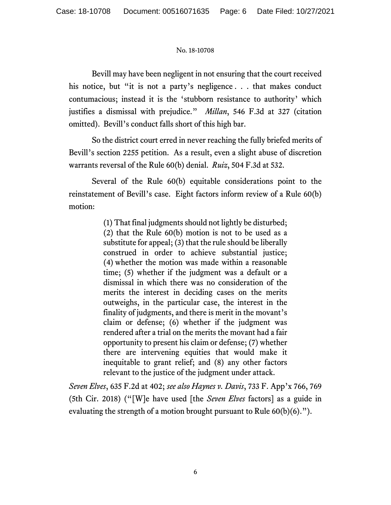Bevill may have been negligent in not ensuring that the court received his notice, but "it is not a party's negligence . . . that makes conduct contumacious; instead it is the 'stubborn resistance to authority' which justifies a dismissal with prejudice." *Millan*, 546 F.3d at 327 (citation omitted). Bevill's conduct falls short of this high bar.

So the district court erred in never reaching the fully briefed merits of Bevill's section 2255 petition. As a result, even a slight abuse of discretion warrants reversal of the Rule 60(b) denial. *Ruiz*, 504 F.3d at 532.

Several of the Rule 60(b) equitable considerations point to the reinstatement of Bevill's case. Eight factors inform review of a Rule 60(b) motion:

> (1) That final judgments should not lightly be disturbed; (2) that the Rule 60(b) motion is not to be used as a substitute for appeal; (3) that the rule should be liberally construed in order to achieve substantial justice; (4) whether the motion was made within a reasonable time; (5) whether if the judgment was a default or a dismissal in which there was no consideration of the merits the interest in deciding cases on the merits outweighs, in the particular case, the interest in the finality of judgments, and there is merit in the movant's claim or defense; (6) whether if the judgment was rendered after a trial on the merits the movant had a fair opportunity to present his claim or defense; (7) whether there are intervening equities that would make it inequitable to grant relief; and (8) any other factors relevant to the justice of the judgment under attack.

*Seven Elves*, 635 F.2d at 402; *see also Haynes v. Davis*, 733 F. App'x 766, 769 (5th Cir. 2018) ("[W]e have used [the *Seven Elves* factors] as a guide in evaluating the strength of a motion brought pursuant to Rule 60(b)(6).").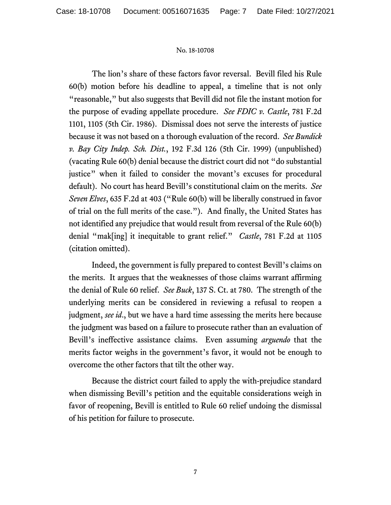The lion's share of these factors favor reversal. Bevill filed his Rule 60(b) motion before his deadline to appeal, a timeline that is not only "reasonable," but also suggests that Bevill did not file the instant motion for the purpose of evading appellate procedure. *See FDIC v. Castle*, 781 F.2d 1101, 1105 (5th Cir. 1986). Dismissal does not serve the interests of justice because it was not based on a thorough evaluation of the record. *See Bundick v. Bay City Indep. Sch. Dist.*, 192 F.3d 126 (5th Cir. 1999) (unpublished) (vacating Rule 60(b) denial because the district court did not "do substantial justice" when it failed to consider the movant's excuses for procedural default). No court has heard Bevill's constitutional claim on the merits. *See Seven Elves*, 635 F.2d at 403 ("Rule 60(b) will be liberally construed in favor of trial on the full merits of the case."). And finally, the United States has not identified any prejudice that would result from reversal of the Rule 60(b) denial "mak[ing] it inequitable to grant relief." *Castle*, 781 F.2d at 1105 (citation omitted).

Indeed, the government is fully prepared to contest Bevill's claims on the merits. It argues that the weaknesses of those claims warrant affirming the denial of Rule 60 relief. *See Buck*, 137 S. Ct. at 780.The strength of the underlying merits can be considered in reviewing a refusal to reopen a judgment, *see id*., but we have a hard time assessing the merits here because the judgment was based on a failure to prosecute rather than an evaluation of Bevill's ineffective assistance claims. Even assuming *arguendo* that the merits factor weighs in the government's favor, it would not be enough to overcome the other factors that tilt the other way.

Because the district court failed to apply the with-prejudice standard when dismissing Bevill's petition and the equitable considerations weigh in favor of reopening, Bevill is entitled to Rule 60 relief undoing the dismissal of his petition for failure to prosecute.